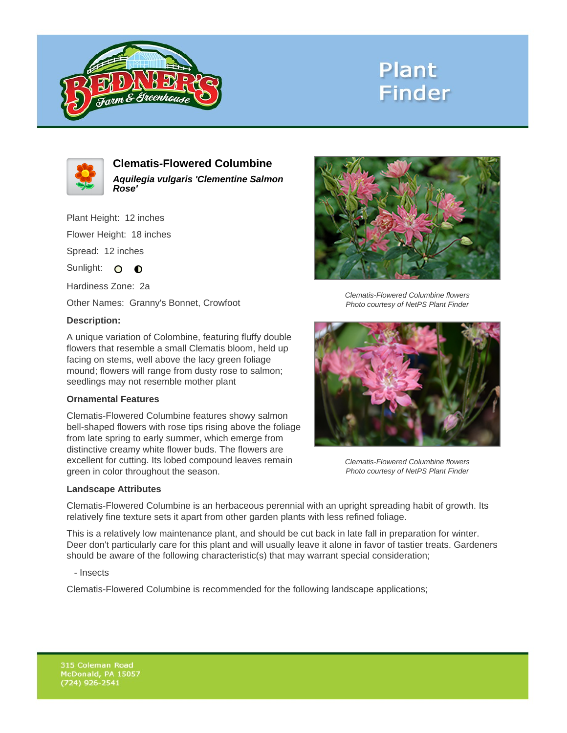

# **Plant Finder**



**Clematis-Flowered Columbine Aquilegia vulgaris 'Clementine Salmon Rose'**

Plant Height: 12 inches

Flower Height: 18 inches

Spread: 12 inches

Sunlight: O **O** 

Hardiness Zone: 2a

Other Names: Granny's Bonnet, Crowfoot

### **Description:**

A unique variation of Colombine, featuring fluffy double flowers that resemble a small Clematis bloom, held up facing on stems, well above the lacy green foliage mound; flowers will range from dusty rose to salmon; seedlings may not resemble mother plant

### **Ornamental Features**

Clematis-Flowered Columbine features showy salmon bell-shaped flowers with rose tips rising above the foliage from late spring to early summer, which emerge from distinctive creamy white flower buds. The flowers are excellent for cutting. Its lobed compound leaves remain green in color throughout the season.

#### **Landscape Attributes**



Clematis-Flowered Columbine flowers Photo courtesy of NetPS Plant Finder



Clematis-Flowered Columbine flowers Photo courtesy of NetPS Plant Finder

Clematis-Flowered Columbine is an herbaceous perennial with an upright spreading habit of growth. Its relatively fine texture sets it apart from other garden plants with less refined foliage.

This is a relatively low maintenance plant, and should be cut back in late fall in preparation for winter. Deer don't particularly care for this plant and will usually leave it alone in favor of tastier treats. Gardeners should be aware of the following characteristic(s) that may warrant special consideration;

- Insects

Clematis-Flowered Columbine is recommended for the following landscape applications;